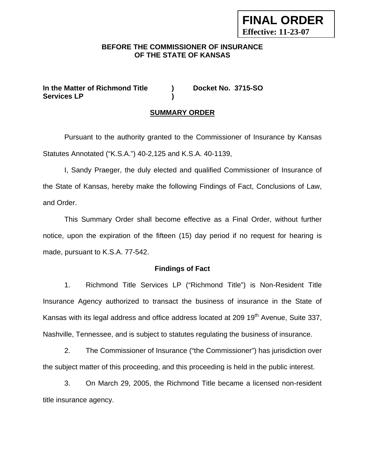## **BEFORE THE COMMISSIONER OF INSURANCE OF THE STATE OF KANSAS**

**FINAL ORDER** 

**Effective: 11-23-07**

**In the Matter of Richmond Title ) Docket No. 3715-SO Services LP )** 

# **SUMMARY ORDER**

 Pursuant to the authority granted to the Commissioner of Insurance by Kansas Statutes Annotated ("K.S.A.") 40-2,125 and K.S.A. 40-1139,

I, Sandy Praeger, the duly elected and qualified Commissioner of Insurance of the State of Kansas, hereby make the following Findings of Fact, Conclusions of Law, and Order.

This Summary Order shall become effective as a Final Order, without further notice, upon the expiration of the fifteen (15) day period if no request for hearing is made, pursuant to K.S.A. 77-542.

## **Findings of Fact**

1. Richmond Title Services LP ("Richmond Title") is Non-Resident Title Insurance Agency authorized to transact the business of insurance in the State of Kansas with its legal address and office address located at 209 19<sup>th</sup> Avenue, Suite 337, Nashville, Tennessee, and is subject to statutes regulating the business of insurance.

2. The Commissioner of Insurance ("the Commissioner") has jurisdiction over the subject matter of this proceeding, and this proceeding is held in the public interest.

3. On March 29, 2005, the Richmond Title became a licensed non-resident title insurance agency.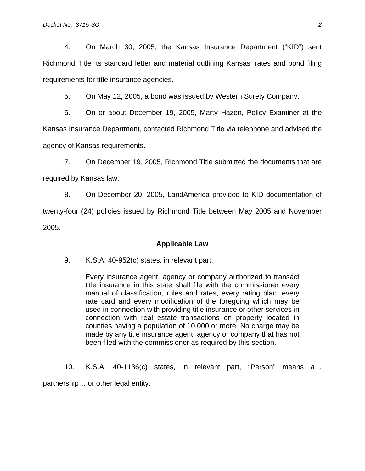4. On March 30, 2005, the Kansas Insurance Department ("KID") sent Richmond Title its standard letter and material outlining Kansas' rates and bond filing requirements for title insurance agencies.

5. On May 12, 2005, a bond was issued by Western Surety Company.

6. On or about December 19, 2005, Marty Hazen, Policy Examiner at the Kansas Insurance Department, contacted Richmond Title via telephone and advised the agency of Kansas requirements.

7. On December 19, 2005, Richmond Title submitted the documents that are required by Kansas law.

8. On December 20, 2005, LandAmerica provided to KID documentation of twenty-four (24) policies issued by Richmond Title between May 2005 and November 2005.

### **Applicable Law**

9. K.S.A. 40-952(c) states, in relevant part:

Every insurance agent, agency or company authorized to transact title insurance in this state shall file with the commissioner every manual of classification, rules and rates, every rating plan, every rate card and every modification of the foregoing which may be used in connection with providing title insurance or other services in connection with real estate transactions on property located in counties having a population of 10,000 or more. No charge may be made by any title insurance agent, agency or company that has not been filed with the commissioner as required by this section.

10. K.S.A. 40-1136(c) states, in relevant part, "Person" means a… partnership… or other legal entity.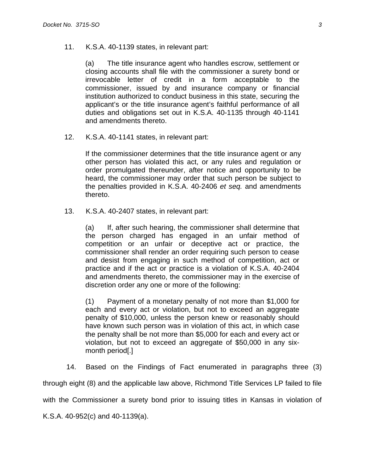11. K.S.A. 40-1139 states, in relevant part:

(a) The title insurance agent who handles escrow, settlement or closing accounts shall file with the commissioner a surety bond or irrevocable letter of credit in a form acceptable to the commissioner, issued by and insurance company or financial institution authorized to conduct business in this state, securing the applicant's or the title insurance agent's faithful performance of all duties and obligations set out in K.S.A. 40-1135 through 40-1141 and amendments thereto.

12. K.S.A. 40-1141 states, in relevant part:

If the commissioner determines that the title insurance agent or any other person has violated this act, or any rules and regulation or order promulgated thereunder, after notice and opportunity to be heard, the commissioner may order that such person be subject to the penalties provided in K.S.A. 40-2406 *et seq.* and amendments thereto.

13. K.S.A. 40-2407 states, in relevant part:

(a) If, after such hearing, the commissioner shall determine that the person charged has engaged in an unfair method of competition or an unfair or deceptive act or practice, the commissioner shall render an order requiring such person to cease and desist from engaging in such method of competition, act or practice and if the act or practice is a violation of K.S.A. 40-2404 and amendments thereto, the commissioner may in the exercise of discretion order any one or more of the following:

(1) Payment of a monetary penalty of not more than \$1,000 for each and every act or violation, but not to exceed an aggregate penalty of \$10,000, unless the person knew or reasonably should have known such person was in violation of this act, in which case the penalty shall be not more than \$5,000 for each and every act or violation, but not to exceed an aggregate of \$50,000 in any sixmonth period[.]

14. Based on the Findings of Fact enumerated in paragraphs three (3)

through eight (8) and the applicable law above, Richmond Title Services LP failed to file

with the Commissioner a surety bond prior to issuing titles in Kansas in violation of

K.S.A. 40-952(c) and 40-1139(a).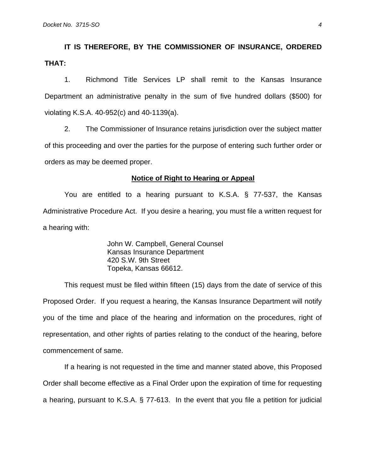**IT IS THEREFORE, BY THE COMMISSIONER OF INSURANCE, ORDERED THAT:** 

1. Richmond Title Services LP shall remit to the Kansas Insurance Department an administrative penalty in the sum of five hundred dollars (\$500) for violating K.S.A. 40-952(c) and 40-1139(a).

 2. The Commissioner of Insurance retains jurisdiction over the subject matter of this proceeding and over the parties for the purpose of entering such further order or orders as may be deemed proper.

#### **Notice of Right to Hearing or Appeal**

You are entitled to a hearing pursuant to K.S.A. § 77-537, the Kansas Administrative Procedure Act. If you desire a hearing, you must file a written request for a hearing with:

> John W. Campbell, General Counsel Kansas Insurance Department 420 S.W. 9th Street Topeka, Kansas 66612.

This request must be filed within fifteen (15) days from the date of service of this Proposed Order. If you request a hearing, the Kansas Insurance Department will notify you of the time and place of the hearing and information on the procedures, right of representation, and other rights of parties relating to the conduct of the hearing, before commencement of same.

If a hearing is not requested in the time and manner stated above, this Proposed Order shall become effective as a Final Order upon the expiration of time for requesting a hearing, pursuant to K.S.A. § 77-613. In the event that you file a petition for judicial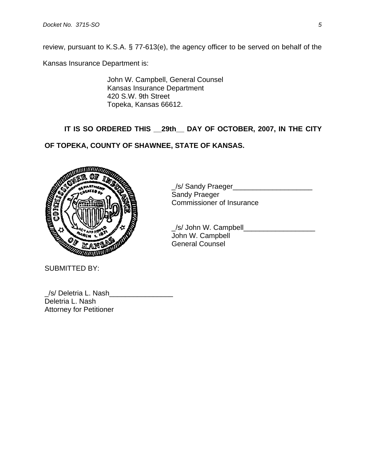review, pursuant to K.S.A. § 77-613(e), the agency officer to be served on behalf of the

Kansas Insurance Department is:

John W. Campbell, General Counsel Kansas Insurance Department 420 S.W. 9th Street Topeka, Kansas 66612.

# **IT IS SO ORDERED THIS \_\_29th\_\_ DAY OF OCTOBER, 2007, IN THE CITY**

# **OF TOPEKA, COUNTY OF SHAWNEE, STATE OF KANSAS.**



SUBMITTED BY:

 \_/s/ Sandy Praeger\_\_\_\_\_\_\_\_\_\_\_\_\_\_\_\_\_\_\_\_ Sandy Praeger Commissioner of Insurance

 \_/s/ John W. Campbell\_\_\_\_\_\_\_\_\_\_\_\_\_\_\_\_\_\_ John W. Campbell General Counsel

| /s/ Deletria L. Nash           |  |
|--------------------------------|--|
| Deletria L. Nash               |  |
| <b>Attorney for Petitioner</b> |  |